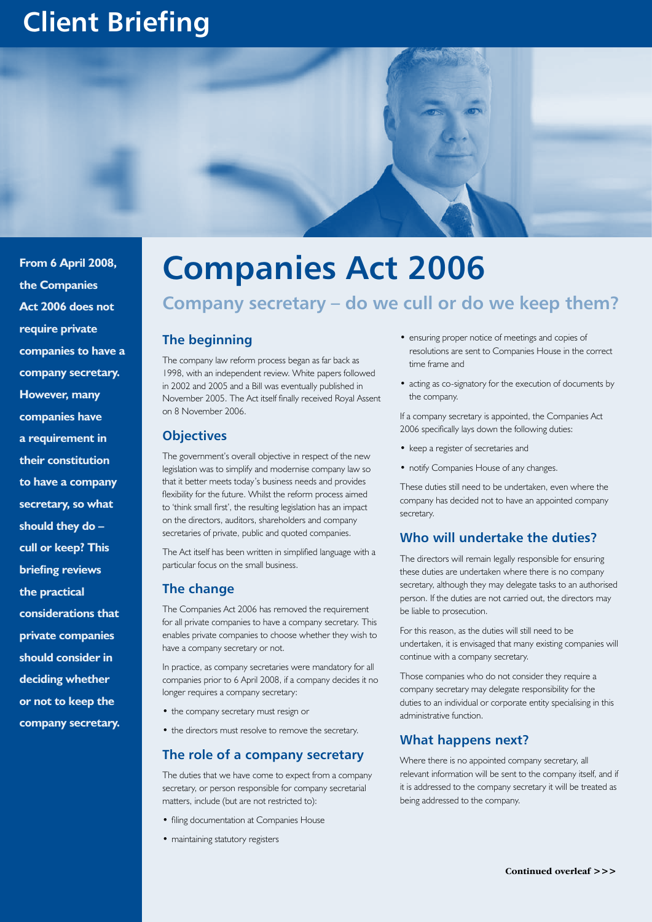# **Client Briefing**



**From 6 April 2008, the Companies Act 2006 does not require private companies to have a company secretary. However, many companies have a requirement in their constitution to have a company secretary, so what should they do – cull or keep? This briefing reviews the practical considerations that private companies should consider in deciding whether or not to keep the company secretary.**

# **Companies Act 2006**

# **Company secretary – do we cull or do we keep them?**

#### **The beginning**

The company law reform process began as far back as 1998, with an independent review. White papers followed in 2002 and 2005 and a Bill was eventually published in November 2005. The Act itself finally received Royal Assent on 8 November 2006.

#### **Objectives**

The government's overall objective in respect of the new legislation was to simplify and modernise company law so that it better meets today's business needs and provides flexibility for the future. Whilst the reform process aimed to 'think small first', the resulting legislation has an impact on the directors, auditors, shareholders and company secretaries of private, public and quoted companies.

The Act itself has been written in simplified language with a particular focus on the small business.

#### **The change**

The Companies Act 2006 has removed the requirement for all private companies to have a company secretary. This enables private companies to choose whether they wish to have a company secretary or not.

In practice, as company secretaries were mandatory for all companies prior to 6 April 2008, if a company decides it no longer requires a company secretary:

- the company secretary must resign or
- the directors must resolve to remove the secretary.

#### **The role of a company secretary**

The duties that we have come to expect from a company secretary, or person responsible for company secretarial matters, include (but are not restricted to):

- filing documentation at Companies House
- maintaining statutory registers
- ensuring proper notice of meetings and copies of resolutions are sent to Companies House in the correct time frame and
- acting as co-signatory for the execution of documents by the company.

If a company secretary is appointed, the Companies Act 2006 specifically lays down the following duties:

- keep a register of secretaries and
- notify Companies House of any changes.

These duties still need to be undertaken, even where the company has decided not to have an appointed company secretary.

#### **Who will undertake the duties?**

The directors will remain legally responsible for ensuring these duties are undertaken where there is no company secretary, although they may delegate tasks to an authorised person. If the duties are not carried out, the directors may be liable to prosecution.

For this reason, as the duties will still need to be undertaken, it is envisaged that many existing companies will continue with a company secretary.

Those companies who do not consider they require a company secretary may delegate responsibility for the duties to an individual or corporate entity specialising in this administrative function.

#### **What happens next?**

Where there is no appointed company secretary, all relevant information will be sent to the company itself, and if it is addressed to the company secretary it will be treated as being addressed to the company.